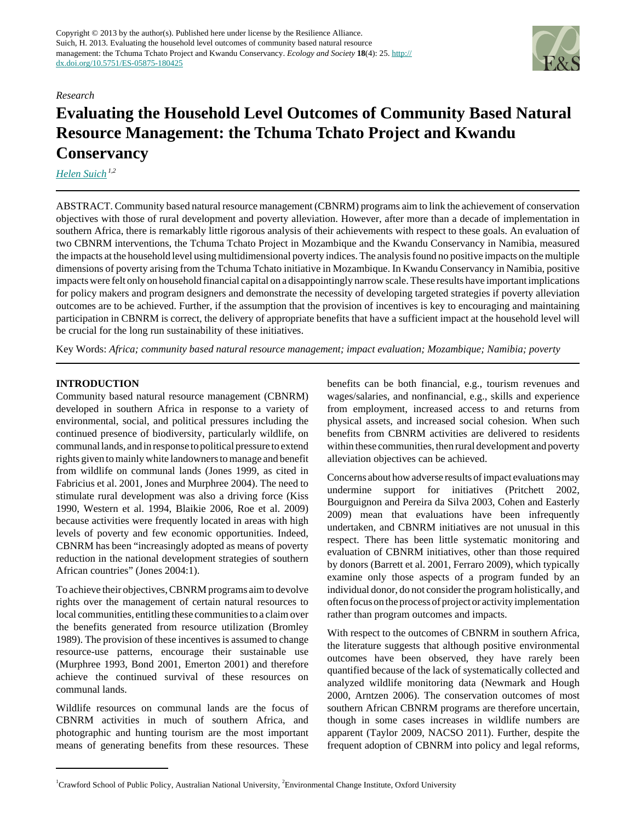

#### *Research*

# **Evaluating the Household Level Outcomes of Community Based Natural Resource Management: the Tchuma Tchato Project and Kwandu Conservancy**

*[Helen Suich](mailto:helen.suich@anu.edu.au) 1,2*

ABSTRACT. Community based natural resource management (CBNRM) programs aim to link the achievement of conservation objectives with those of rural development and poverty alleviation. However, after more than a decade of implementation in southern Africa, there is remarkably little rigorous analysis of their achievements with respect to these goals. An evaluation of two CBNRM interventions, the Tchuma Tchato Project in Mozambique and the Kwandu Conservancy in Namibia, measured the impacts at the household level using multidimensional poverty indices. The analysis found no positive impacts on the multiple dimensions of poverty arising from the Tchuma Tchato initiative in Mozambique. In Kwandu Conservancy in Namibia, positive impacts were felt only on household financial capital on a disappointingly narrow scale. These results have important implications for policy makers and program designers and demonstrate the necessity of developing targeted strategies if poverty alleviation outcomes are to be achieved. Further, if the assumption that the provision of incentives is key to encouraging and maintaining participation in CBNRM is correct, the delivery of appropriate benefits that have a sufficient impact at the household level will be crucial for the long run sustainability of these initiatives.

Key Words: *Africa; community based natural resource management; impact evaluation; Mozambique; Namibia; poverty*

## **INTRODUCTION**

Community based natural resource management (CBNRM) developed in southern Africa in response to a variety of environmental, social, and political pressures including the continued presence of biodiversity, particularly wildlife, on communal lands, and in response to political pressure to extend rights given to mainly white landowners to manage and benefit from wildlife on communal lands (Jones 1999, as cited in Fabricius et al. 2001, Jones and Murphree 2004). The need to stimulate rural development was also a driving force (Kiss 1990, Western et al. 1994, Blaikie 2006, Roe et al. 2009) because activities were frequently located in areas with high levels of poverty and few economic opportunities. Indeed, CBNRM has been "increasingly adopted as means of poverty reduction in the national development strategies of southern African countries" (Jones 2004:1).

To achieve their objectives, CBNRM programs aim to devolve rights over the management of certain natural resources to local communities, entitling these communities to a claim over the benefits generated from resource utilization (Bromley 1989). The provision of these incentives is assumed to change resource-use patterns, encourage their sustainable use (Murphree 1993, Bond 2001, Emerton 2001) and therefore achieve the continued survival of these resources on communal lands.

Wildlife resources on communal lands are the focus of CBNRM activities in much of southern Africa, and photographic and hunting tourism are the most important means of generating benefits from these resources. These

benefits can be both financial, e.g., tourism revenues and wages/salaries, and nonfinancial, e.g., skills and experience from employment, increased access to and returns from physical assets, and increased social cohesion. When such benefits from CBNRM activities are delivered to residents within these communities, then rural development and poverty alleviation objectives can be achieved.

Concerns about how adverse results of impact evaluations may undermine support for initiatives (Pritchett 2002, Bourguignon and Pereira da Silva 2003, Cohen and Easterly 2009) mean that evaluations have been infrequently undertaken, and CBNRM initiatives are not unusual in this respect. There has been little systematic monitoring and evaluation of CBNRM initiatives, other than those required by donors (Barrett et al. 2001, Ferraro 2009), which typically examine only those aspects of a program funded by an individual donor, do not consider the program holistically, and often focus on the process of project or activity implementation rather than program outcomes and impacts.

With respect to the outcomes of CBNRM in southern Africa, the literature suggests that although positive environmental outcomes have been observed, they have rarely been quantified because of the lack of systematically collected and analyzed wildlife monitoring data (Newmark and Hough 2000, Arntzen 2006). The conservation outcomes of most southern African CBNRM programs are therefore uncertain, though in some cases increases in wildlife numbers are apparent (Taylor 2009, NACSO 2011). Further, despite the frequent adoption of CBNRM into policy and legal reforms,

<sup>&</sup>lt;sup>1</sup>Crawford School of Public Policy, Australian National University, <sup>2</sup>Environmental Change Institute, Oxford University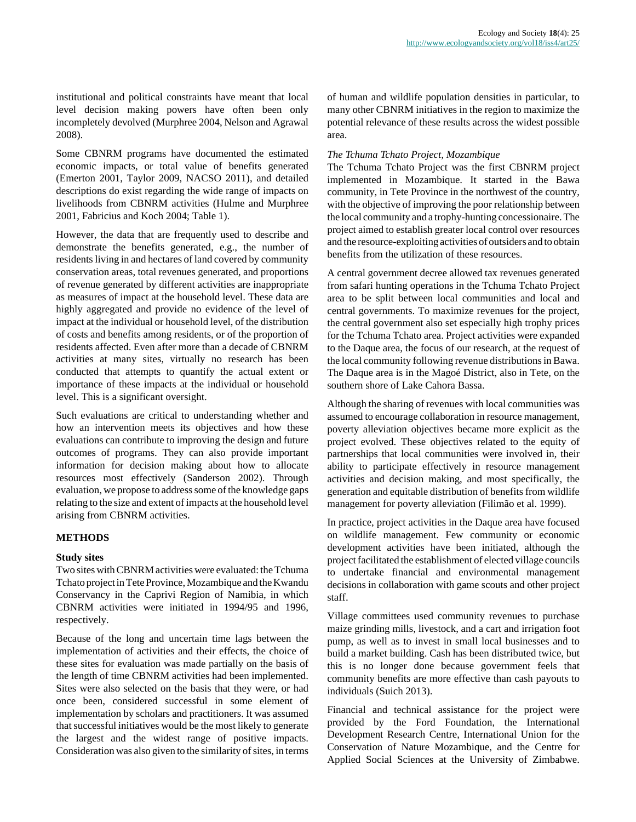institutional and political constraints have meant that local level decision making powers have often been only incompletely devolved (Murphree 2004, Nelson and Agrawal 2008).

Some CBNRM programs have documented the estimated economic impacts, or total value of benefits generated (Emerton 2001, Taylor 2009, NACSO 2011), and detailed descriptions do exist regarding the wide range of impacts on livelihoods from CBNRM activities (Hulme and Murphree 2001, Fabricius and Koch 2004; Table 1).

However, the data that are frequently used to describe and demonstrate the benefits generated, e.g., the number of residents living in and hectares of land covered by community conservation areas, total revenues generated, and proportions of revenue generated by different activities are inappropriate as measures of impact at the household level. These data are highly aggregated and provide no evidence of the level of impact at the individual or household level, of the distribution of costs and benefits among residents, or of the proportion of residents affected. Even after more than a decade of CBNRM activities at many sites, virtually no research has been conducted that attempts to quantify the actual extent or importance of these impacts at the individual or household level. This is a significant oversight.

Such evaluations are critical to understanding whether and how an intervention meets its objectives and how these evaluations can contribute to improving the design and future outcomes of programs. They can also provide important information for decision making about how to allocate resources most effectively (Sanderson 2002). Through evaluation, we propose to address some of the knowledge gaps relating to the size and extent of impacts at the household level arising from CBNRM activities.

## **METHODS**

#### **Study sites**

Two sites with CBNRM activities were evaluated: the Tchuma Tchato project in Tete Province, Mozambique and the Kwandu Conservancy in the Caprivi Region of Namibia, in which CBNRM activities were initiated in 1994/95 and 1996, respectively.

Because of the long and uncertain time lags between the implementation of activities and their effects, the choice of these sites for evaluation was made partially on the basis of the length of time CBNRM activities had been implemented. Sites were also selected on the basis that they were, or had once been, considered successful in some element of implementation by scholars and practitioners. It was assumed that successful initiatives would be the most likely to generate the largest and the widest range of positive impacts. Consideration was also given to the similarity of sites, in terms

of human and wildlife population densities in particular, to many other CBNRM initiatives in the region to maximize the potential relevance of these results across the widest possible area.

#### *The Tchuma Tchato Project, Mozambique*

The Tchuma Tchato Project was the first CBNRM project implemented in Mozambique. It started in the Bawa community, in Tete Province in the northwest of the country, with the objective of improving the poor relationship between the local community and a trophy-hunting concessionaire. The project aimed to establish greater local control over resources and the resource-exploiting activities of outsiders and to obtain benefits from the utilization of these resources.

A central government decree allowed tax revenues generated from safari hunting operations in the Tchuma Tchato Project area to be split between local communities and local and central governments. To maximize revenues for the project, the central government also set especially high trophy prices for the Tchuma Tchato area. Project activities were expanded to the Daque area, the focus of our research, at the request of the local community following revenue distributions in Bawa. The Daque area is in the Magoé District, also in Tete, on the southern shore of Lake Cahora Bassa.

Although the sharing of revenues with local communities was assumed to encourage collaboration in resource management, poverty alleviation objectives became more explicit as the project evolved. These objectives related to the equity of partnerships that local communities were involved in, their ability to participate effectively in resource management activities and decision making, and most specifically, the generation and equitable distribution of benefits from wildlife management for poverty alleviation (Filimão et al. 1999).

In practice, project activities in the Daque area have focused on wildlife management. Few community or economic development activities have been initiated, although the project facilitated the establishment of elected village councils to undertake financial and environmental management decisions in collaboration with game scouts and other project staff.

Village committees used community revenues to purchase maize grinding mills, livestock, and a cart and irrigation foot pump, as well as to invest in small local businesses and to build a market building. Cash has been distributed twice, but this is no longer done because government feels that community benefits are more effective than cash payouts to individuals (Suich 2013).

Financial and technical assistance for the project were provided by the Ford Foundation, the International Development Research Centre, International Union for the Conservation of Nature Mozambique, and the Centre for Applied Social Sciences at the University of Zimbabwe.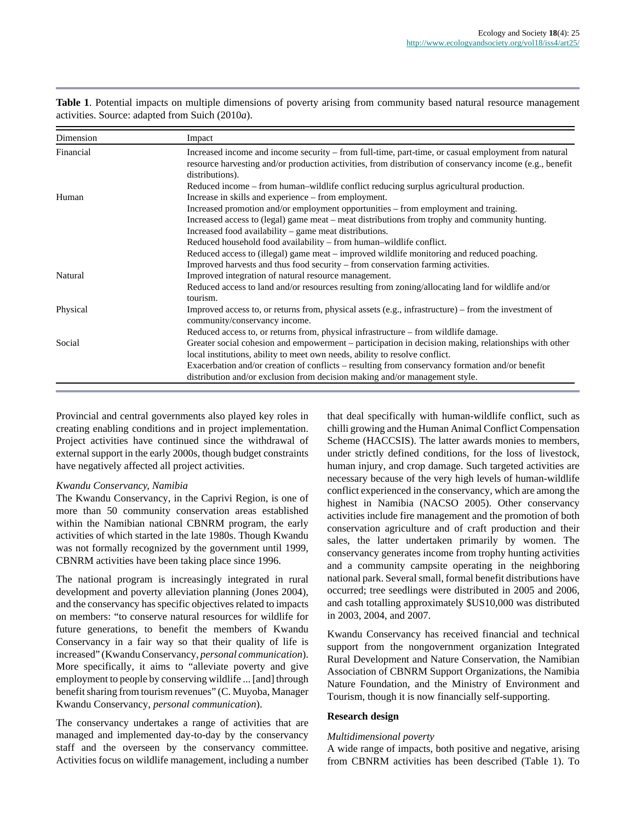| Dimension | Impact                                                                                                                                                                                                                                       |  |  |  |
|-----------|----------------------------------------------------------------------------------------------------------------------------------------------------------------------------------------------------------------------------------------------|--|--|--|
| Financial | Increased income and income security – from full-time, part-time, or casual employment from natural<br>resource harvesting and/or production activities, from distribution of conservancy income (e.g., benefit<br>distributions).           |  |  |  |
|           | Reduced income – from human-wildlife conflict reducing surplus agricultural production.                                                                                                                                                      |  |  |  |
| Human     | Increase in skills and experience – from employment.<br>Increased promotion and/or employment opportunities – from employment and training.<br>Increased access to (legal) game meat – meat distributions from trophy and community hunting. |  |  |  |
|           | Increased food availability – game meat distributions.                                                                                                                                                                                       |  |  |  |
|           | Reduced household food availability – from human–wildlife conflict.                                                                                                                                                                          |  |  |  |
|           | Reduced access to (illegal) game meat – improved wildlife monitoring and reduced poaching.                                                                                                                                                   |  |  |  |
|           | Improved harvests and thus food security – from conservation farming activities.                                                                                                                                                             |  |  |  |
| Natural   | Improved integration of natural resource management.                                                                                                                                                                                         |  |  |  |
|           | Reduced access to land and/or resources resulting from zoning/allocating land for wildlife and/or<br>tourism.                                                                                                                                |  |  |  |
| Physical  | Improved access to, or returns from, physical assets $(e.g., infrastructure)$ – from the investment of<br>community/conservancy income.                                                                                                      |  |  |  |
|           | Reduced access to, or returns from, physical infrastructure – from wildlife damage.                                                                                                                                                          |  |  |  |
| Social    | Greater social cohesion and empowerment – participation in decision making, relationships with other<br>local institutions, ability to meet own needs, ability to resolve conflict.                                                          |  |  |  |
|           | Exacerbation and/or creation of conflicts – resulting from conservancy formation and/or benefit<br>distribution and/or exclusion from decision making and/or management style.                                                               |  |  |  |

**Table 1**. Potential impacts on multiple dimensions of poverty arising from community based natural resource management activities. Source: adapted from Suich (2010*a*).

Provincial and central governments also played key roles in creating enabling conditions and in project implementation. Project activities have continued since the withdrawal of external support in the early 2000s, though budget constraints have negatively affected all project activities.

## *Kwandu Conservancy, Namibia*

The Kwandu Conservancy, in the Caprivi Region, is one of more than 50 community conservation areas established within the Namibian national CBNRM program, the early activities of which started in the late 1980s. Though Kwandu was not formally recognized by the government until 1999, CBNRM activities have been taking place since 1996.

The national program is increasingly integrated in rural development and poverty alleviation planning (Jones 2004), and the conservancy has specific objectives related to impacts on members: "to conserve natural resources for wildlife for future generations, to benefit the members of Kwandu Conservancy in a fair way so that their quality of life is increased" (Kwandu Conservancy, *personal communication*). More specifically, it aims to "alleviate poverty and give employment to people by conserving wildlife ... [and] through benefit sharing from tourism revenues" (C. Muyoba, Manager Kwandu Conservancy, *personal communication*).

The conservancy undertakes a range of activities that are managed and implemented day-to-day by the conservancy staff and the overseen by the conservancy committee. Activities focus on wildlife management, including a number that deal specifically with human-wildlife conflict, such as chilli growing and the Human Animal Conflict Compensation Scheme (HACCSIS). The latter awards monies to members, under strictly defined conditions, for the loss of livestock, human injury, and crop damage. Such targeted activities are necessary because of the very high levels of human-wildlife conflict experienced in the conservancy, which are among the highest in Namibia (NACSO 2005). Other conservancy activities include fire management and the promotion of both conservation agriculture and of craft production and their sales, the latter undertaken primarily by women. The conservancy generates income from trophy hunting activities and a community campsite operating in the neighboring national park. Several small, formal benefit distributions have occurred; tree seedlings were distributed in 2005 and 2006, and cash totalling approximately \$US10,000 was distributed in 2003, 2004, and 2007.

Kwandu Conservancy has received financial and technical support from the nongovernment organization Integrated Rural Development and Nature Conservation, the Namibian Association of CBNRM Support Organizations, the Namibia Nature Foundation, and the Ministry of Environment and Tourism, though it is now financially self-supporting.

## **Research design**

## *Multidimensional poverty*

A wide range of impacts, both positive and negative, arising from CBNRM activities has been described (Table 1). To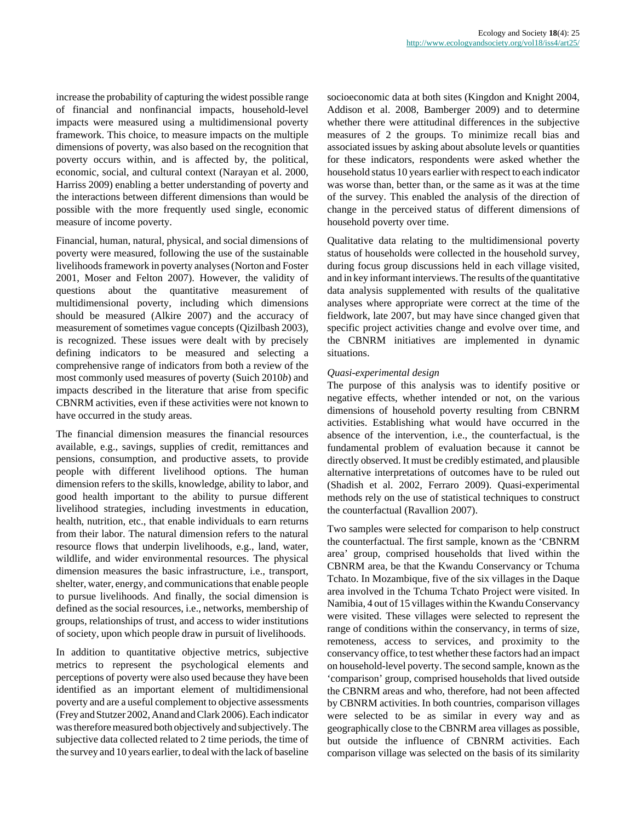increase the probability of capturing the widest possible range of financial and nonfinancial impacts, household-level impacts were measured using a multidimensional poverty framework. This choice, to measure impacts on the multiple dimensions of poverty, was also based on the recognition that poverty occurs within, and is affected by, the political, economic, social, and cultural context (Narayan et al. 2000, Harriss 2009) enabling a better understanding of poverty and the interactions between different dimensions than would be possible with the more frequently used single, economic measure of income poverty.

Financial, human, natural, physical, and social dimensions of poverty were measured, following the use of the sustainable livelihoods framework in poverty analyses (Norton and Foster 2001, Moser and Felton 2007). However, the validity of questions about the quantitative measurement of multidimensional poverty, including which dimensions should be measured (Alkire 2007) and the accuracy of measurement of sometimes vague concepts (Qizilbash 2003), is recognized. These issues were dealt with by precisely defining indicators to be measured and selecting a comprehensive range of indicators from both a review of the most commonly used measures of poverty (Suich 2010*b*) and impacts described in the literature that arise from specific CBNRM activities, even if these activities were not known to have occurred in the study areas.

The financial dimension measures the financial resources available, e.g., savings, supplies of credit, remittances and pensions, consumption, and productive assets, to provide people with different livelihood options. The human dimension refers to the skills, knowledge, ability to labor, and good health important to the ability to pursue different livelihood strategies, including investments in education, health, nutrition, etc., that enable individuals to earn returns from their labor. The natural dimension refers to the natural resource flows that underpin livelihoods, e.g., land, water, wildlife, and wider environmental resources. The physical dimension measures the basic infrastructure, i.e., transport, shelter, water, energy, and communications that enable people to pursue livelihoods. And finally, the social dimension is defined as the social resources, i.e., networks, membership of groups, relationships of trust, and access to wider institutions of society, upon which people draw in pursuit of livelihoods.

In addition to quantitative objective metrics, subjective metrics to represent the psychological elements and perceptions of poverty were also used because they have been identified as an important element of multidimensional poverty and are a useful complement to objective assessments (Frey and Stutzer 2002, Anand and Clark 2006). Each indicator was therefore measured both objectively and subjectively. The subjective data collected related to 2 time periods, the time of the survey and 10 years earlier, to deal with the lack of baseline

socioeconomic data at both sites (Kingdon and Knight 2004, Addison et al. 2008, Bamberger 2009) and to determine whether there were attitudinal differences in the subjective measures of 2 the groups. To minimize recall bias and associated issues by asking about absolute levels or quantities for these indicators, respondents were asked whether the household status 10 years earlier with respect to each indicator was worse than, better than, or the same as it was at the time of the survey. This enabled the analysis of the direction of change in the perceived status of different dimensions of household poverty over time.

Qualitative data relating to the multidimensional poverty status of households were collected in the household survey, during focus group discussions held in each village visited, and in key informant interviews. The results of the quantitative data analysis supplemented with results of the qualitative analyses where appropriate were correct at the time of the fieldwork, late 2007, but may have since changed given that specific project activities change and evolve over time, and the CBNRM initiatives are implemented in dynamic situations.

## *Quasi-experimental design*

The purpose of this analysis was to identify positive or negative effects, whether intended or not, on the various dimensions of household poverty resulting from CBNRM activities. Establishing what would have occurred in the absence of the intervention, i.e., the counterfactual, is the fundamental problem of evaluation because it cannot be directly observed. It must be credibly estimated, and plausible alternative interpretations of outcomes have to be ruled out (Shadish et al. 2002, Ferraro 2009). Quasi-experimental methods rely on the use of statistical techniques to construct the counterfactual (Ravallion 2007).

Two samples were selected for comparison to help construct the counterfactual. The first sample, known as the 'CBNRM area' group, comprised households that lived within the CBNRM area, be that the Kwandu Conservancy or Tchuma Tchato. In Mozambique, five of the six villages in the Daque area involved in the Tchuma Tchato Project were visited. In Namibia, 4 out of 15 villages within the Kwandu Conservancy were visited. These villages were selected to represent the range of conditions within the conservancy, in terms of size, remoteness, access to services, and proximity to the conservancy office, to test whether these factors had an impact on household-level poverty. The second sample, known as the 'comparison' group, comprised households that lived outside the CBNRM areas and who, therefore, had not been affected by CBNRM activities. In both countries, comparison villages were selected to be as similar in every way and as geographically close to the CBNRM area villages as possible, but outside the influence of CBNRM activities. Each comparison village was selected on the basis of its similarity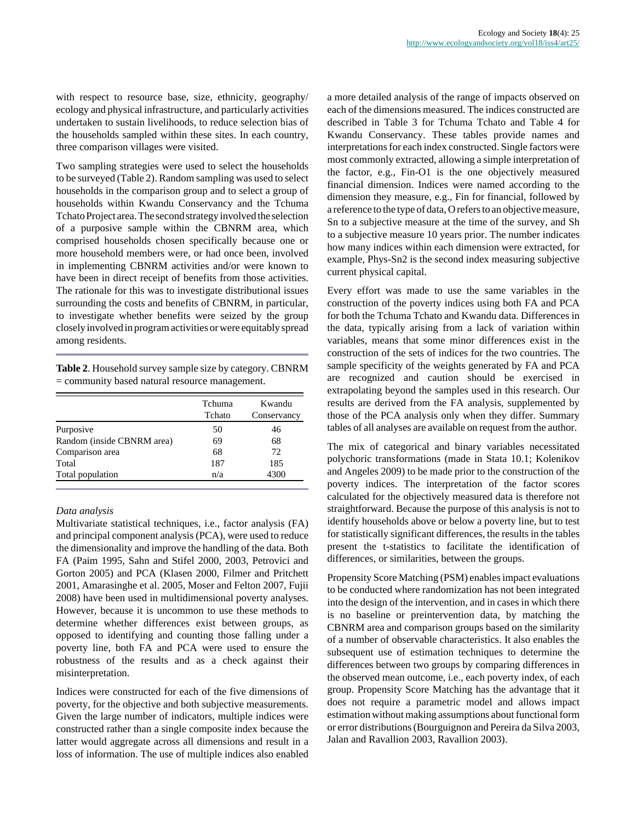with respect to resource base, size, ethnicity, geography/ ecology and physical infrastructure, and particularly activities undertaken to sustain livelihoods, to reduce selection bias of the households sampled within these sites. In each country, three comparison villages were visited.

Two sampling strategies were used to select the households to be surveyed (Table 2). Random sampling was used to select households in the comparison group and to select a group of households within Kwandu Conservancy and the Tchuma Tchato Project area. The second strategy involved the selection of a purposive sample within the CBNRM area, which comprised households chosen specifically because one or more household members were, or had once been, involved in implementing CBNRM activities and/or were known to have been in direct receipt of benefits from those activities. The rationale for this was to investigate distributional issues surrounding the costs and benefits of CBNRM, in particular, to investigate whether benefits were seized by the group closely involved in program activities or were equitably spread among residents.

**Table 2**. Household survey sample size by category. CBNRM  $=$  community based natural resource management.

|                            | Tchuma<br>Tchato | Kwandu<br>Conservancy |
|----------------------------|------------------|-----------------------|
| Purposive                  | 50               | 46                    |
| Random (inside CBNRM area) | 69               | 68                    |
| Comparison area            | 68               | 72                    |
| Total                      | 187              | 185                   |
| Total population           | n/a              | 4300                  |

#### *Data analysis*

Multivariate statistical techniques, i.e., factor analysis (FA) and principal component analysis (PCA), were used to reduce the dimensionality and improve the handling of the data. Both FA (Paim 1995, Sahn and Stifel 2000, 2003, Petrovici and Gorton 2005) and PCA (Klasen 2000, Filmer and Pritchett 2001, Amarasinghe et al. 2005, Moser and Felton 2007, Fujii 2008) have been used in multidimensional poverty analyses. However, because it is uncommon to use these methods to determine whether differences exist between groups, as opposed to identifying and counting those falling under a poverty line, both FA and PCA were used to ensure the robustness of the results and as a check against their misinterpretation.

Indices were constructed for each of the five dimensions of poverty, for the objective and both subjective measurements. Given the large number of indicators, multiple indices were constructed rather than a single composite index because the latter would aggregate across all dimensions and result in a loss of information. The use of multiple indices also enabled a more detailed analysis of the range of impacts observed on each of the dimensions measured. The indices constructed are described in Table 3 for Tchuma Tchato and Table 4 for Kwandu Conservancy. These tables provide names and interpretations for each index constructed. Single factors were most commonly extracted, allowing a simple interpretation of the factor, e.g., Fin-O1 is the one objectively measured financial dimension. Indices were named according to the dimension they measure, e.g., Fin for financial, followed by a reference to the type of data, O refers to an objective measure, Sn to a subjective measure at the time of the survey, and Sh to a subjective measure 10 years prior. The number indicates how many indices within each dimension were extracted, for example, Phys-Sn2 is the second index measuring subjective current physical capital.

Every effort was made to use the same variables in the construction of the poverty indices using both FA and PCA for both the Tchuma Tchato and Kwandu data. Differences in the data, typically arising from a lack of variation within variables, means that some minor differences exist in the construction of the sets of indices for the two countries. The sample specificity of the weights generated by FA and PCA are recognized and caution should be exercised in extrapolating beyond the samples used in this research. Our results are derived from the FA analysis, supplemented by those of the PCA analysis only when they differ. Summary tables of all analyses are available on request from the author.

The mix of categorical and binary variables necessitated polychoric transformations (made in Stata 10.1; Kolenikov and Angeles 2009) to be made prior to the construction of the poverty indices. The interpretation of the factor scores calculated for the objectively measured data is therefore not straightforward. Because the purpose of this analysis is not to identify households above or below a poverty line, but to test for statistically significant differences, the results in the tables present the t-statistics to facilitate the identification of differences, or similarities, between the groups.

Propensity Score Matching (PSM) enables impact evaluations to be conducted where randomization has not been integrated into the design of the intervention, and in cases in which there is no baseline or preintervention data, by matching the CBNRM area and comparison groups based on the similarity of a number of observable characteristics. It also enables the subsequent use of estimation techniques to determine the differences between two groups by comparing differences in the observed mean outcome, i.e., each poverty index, of each group. Propensity Score Matching has the advantage that it does not require a parametric model and allows impact estimation without making assumptions about functional form or error distributions (Bourguignon and Pereira da Silva 2003, Jalan and Ravallion 2003, Ravallion 2003).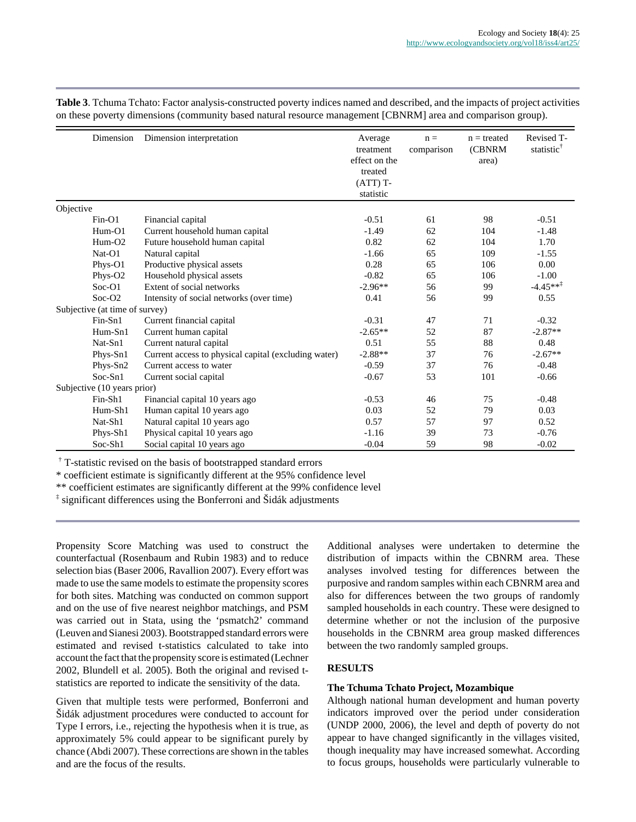**Table 3**. Tchuma Tchato: Factor analysis-constructed poverty indices named and described, and the impacts of project activities on these poverty dimensions (community based natural resource management [CBNRM] area and comparison group).

| Dimension                      | Dimension interpretation                             | Average<br>treatment<br>effect on the<br>treated<br>$(ATT)T-$<br>statistic | $n =$<br>comparison | $n =$ treated<br>(CBNRM<br>area) | Revised T-<br>statistic <sup>†</sup> |
|--------------------------------|------------------------------------------------------|----------------------------------------------------------------------------|---------------------|----------------------------------|--------------------------------------|
| Objective                      |                                                      |                                                                            |                     |                                  |                                      |
| Fin-O1                         | Financial capital                                    | $-0.51$                                                                    | 61                  | 98                               | $-0.51$                              |
| $Hum-O1$                       | Current household human capital                      | $-1.49$                                                                    | 62                  | 104                              | $-1.48$                              |
| $Hum-O2$                       | Future household human capital                       | 0.82                                                                       | 62                  | 104                              | 1.70                                 |
| $Nat-O1$                       | Natural capital                                      | $-1.66$                                                                    | 65                  | 109                              | $-1.55$                              |
| Phys-O1                        | Productive physical assets                           | 0.28                                                                       | 65                  | 106                              | 0.00                                 |
| Phys-O2                        | Household physical assets                            | $-0.82$                                                                    | 65                  | 106                              | $-1.00$                              |
| $Soc-O1$                       | Extent of social networks                            | $-2.96**$                                                                  | 56                  | 99                               | $-4.45***$                           |
| $Soc-O2$                       | Intensity of social networks (over time)             | 0.41                                                                       | 56                  | 99                               | 0.55                                 |
| Subjective (at time of survey) |                                                      |                                                                            |                     |                                  |                                      |
| $Fin-Sn1$                      | Current financial capital                            | $-0.31$                                                                    | 47                  | 71                               | $-0.32$                              |
| Hum-Sn1                        | Current human capital                                | $-2.65**$                                                                  | 52                  | 87                               | $-2.87**$                            |
| Nat-Sn1                        | Current natural capital                              | 0.51                                                                       | 55                  | 88                               | 0.48                                 |
| Phys-Sn1                       | Current access to physical capital (excluding water) | $-2.88**$                                                                  | 37                  | 76                               | $-2.67**$                            |
| Phys-Sn2                       | Current access to water                              | $-0.59$                                                                    | 37                  | 76                               | $-0.48$                              |
| $Soc-Sn1$                      | Current social capital                               | $-0.67$                                                                    | 53                  | 101                              | $-0.66$                              |
| Subjective (10 years prior)    |                                                      |                                                                            |                     |                                  |                                      |
| Fin-Sh1                        | Financial capital 10 years ago                       | $-0.53$                                                                    | 46                  | 75                               | $-0.48$                              |
| Hum-Sh1                        | Human capital 10 years ago                           | 0.03                                                                       | 52                  | 79                               | 0.03                                 |
| Nat-Sh1                        | Natural capital 10 years ago                         | 0.57                                                                       | 57                  | 97                               | 0.52                                 |
| Phys-Sh1                       | Physical capital 10 years ago                        | $-1.16$                                                                    | 39                  | 73                               | $-0.76$                              |
| Soc-Sh1                        | Social capital 10 years ago                          | $-0.04$                                                                    | 59                  | 98                               | $-0.02$                              |

† T-statistic revised on the basis of bootstrapped standard errors

\* coefficient estimate is significantly different at the 95% confidence level

\*\* coefficient estimates are significantly different at the 99% confidence level

‡ significant differences using the Bonferroni and Šidák adjustments

Propensity Score Matching was used to construct the counterfactual (Rosenbaum and Rubin 1983) and to reduce selection bias (Baser 2006, Ravallion 2007). Every effort was made to use the same models to estimate the propensity scores for both sites. Matching was conducted on common support and on the use of five nearest neighbor matchings, and PSM was carried out in Stata, using the 'psmatch2' command (Leuven and Sianesi 2003). Bootstrapped standard errors were estimated and revised t-statistics calculated to take into account the fact that the propensity score is estimated (Lechner 2002, Blundell et al. 2005). Both the original and revised tstatistics are reported to indicate the sensitivity of the data.

Given that multiple tests were performed, Bonferroni and Šidák adjustment procedures were conducted to account for Type I errors, i.e., rejecting the hypothesis when it is true, as approximately 5% could appear to be significant purely by chance (Abdi 2007). These corrections are shown in the tables and are the focus of the results.

Additional analyses were undertaken to determine the distribution of impacts within the CBNRM area. These analyses involved testing for differences between the purposive and random samples within each CBNRM area and also for differences between the two groups of randomly sampled households in each country. These were designed to determine whether or not the inclusion of the purposive households in the CBNRM area group masked differences between the two randomly sampled groups.

## **RESULTS**

## **The Tchuma Tchato Project, Mozambique**

Although national human development and human poverty indicators improved over the period under consideration (UNDP 2000, 2006), the level and depth of poverty do not appear to have changed significantly in the villages visited, though inequality may have increased somewhat. According to focus groups, households were particularly vulnerable to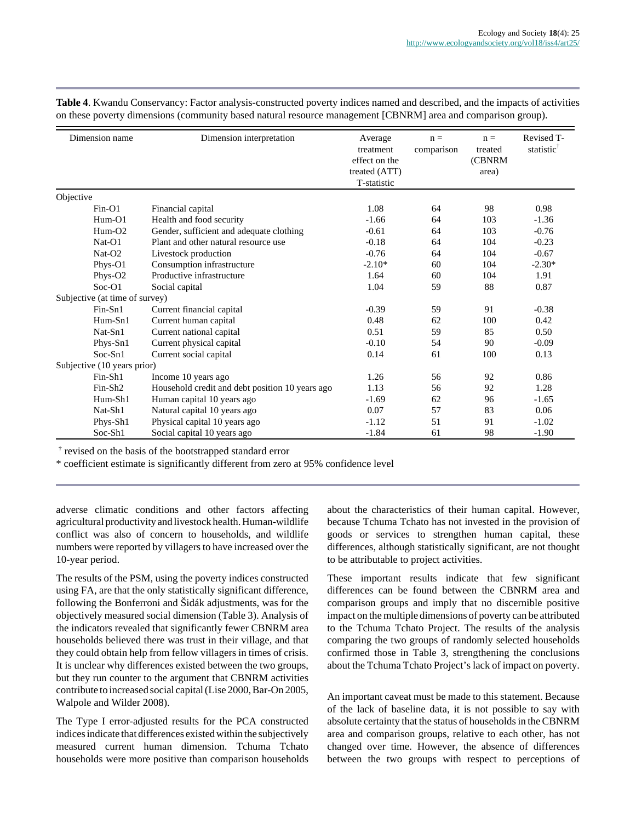| Dimension name                 | Dimension interpretation                        | Average<br>treatment<br>effect on the<br>treated (ATT) | $n =$<br>comparison | $n =$<br>treated<br><b>(CBNRM</b><br>area) | Revised T-<br>statistic |
|--------------------------------|-------------------------------------------------|--------------------------------------------------------|---------------------|--------------------------------------------|-------------------------|
|                                |                                                 | T-statistic                                            |                     |                                            |                         |
| Objective                      |                                                 |                                                        |                     |                                            |                         |
| $Fin-O1$                       | Financial capital                               | 1.08                                                   | 64                  | 98                                         | 0.98                    |
| $Hum-O1$                       | Health and food security                        | $-1.66$                                                | 64                  | 103                                        | $-1.36$                 |
| $Hum-O2$                       | Gender, sufficient and adequate clothing        | $-0.61$                                                | 64                  | 103                                        | $-0.76$                 |
| $Nat-O1$                       | Plant and other natural resource use            | $-0.18$                                                | 64                  | 104                                        | $-0.23$                 |
| $Nat-O2$                       | Livestock production                            | $-0.76$                                                | 64                  | 104                                        | $-0.67$                 |
| Phys-O1                        | Consumption infrastructure                      | $-2.10*$                                               | 60                  | 104                                        | $-2.30*$                |
| Phys-O <sub>2</sub>            | Productive infrastructure                       | 1.64                                                   | 60                  | 104                                        | 1.91                    |
| $Soc-O1$                       | Social capital                                  | 1.04                                                   | 59                  | 88                                         | 0.87                    |
| Subjective (at time of survey) |                                                 |                                                        |                     |                                            |                         |
| $Fin-Sn1$                      | Current financial capital                       | $-0.39$                                                | 59                  | 91                                         | $-0.38$                 |
| Hum-Sn1                        | Current human capital                           | 0.48                                                   | 62                  | 100                                        | 0.42                    |
| $Nat-Sn1$                      | Current national capital                        | 0.51                                                   | 59                  | 85                                         | 0.50                    |
| Phys-Sn1                       | Current physical capital                        | $-0.10$                                                | 54                  | 90                                         | $-0.09$                 |
| $Soc-Sn1$                      | Current social capital                          | 0.14                                                   | 61                  | 100                                        | 0.13                    |
| Subjective (10 years prior)    |                                                 |                                                        |                     |                                            |                         |
| Fin-Sh1                        | Income 10 years ago                             | 1.26                                                   | 56                  | 92                                         | 0.86                    |
| Fin-Sh <sub>2</sub>            | Household credit and debt position 10 years ago | 1.13                                                   | 56                  | 92                                         | 1.28                    |
| Hum-Sh1                        | Human capital 10 years ago                      | $-1.69$                                                | 62                  | 96                                         | $-1.65$                 |
| Nat-Sh1                        | Natural capital 10 years ago                    | 0.07                                                   | 57                  | 83                                         | 0.06                    |
| Phys-Sh1                       | Physical capital 10 years ago                   | $-1.12$                                                | 51                  | 91                                         | $-1.02$                 |
| Soc-Sh1                        | Social capital 10 years ago                     | $-1.84$                                                | 61                  | 98                                         | $-1.90$                 |

**Table 4**. Kwandu Conservancy: Factor analysis-constructed poverty indices named and described, and the impacts of activities on these poverty dimensions (community based natural resource management [CBNRM] area and comparison group).

† revised on the basis of the bootstrapped standard error

\* coefficient estimate is significantly different from zero at 95% confidence level

adverse climatic conditions and other factors affecting agricultural productivity and livestock health. Human-wildlife conflict was also of concern to households, and wildlife numbers were reported by villagers to have increased over the 10-year period.

The results of the PSM, using the poverty indices constructed using FA, are that the only statistically significant difference, following the Bonferroni and Šidák adjustments, was for the objectively measured social dimension (Table 3). Analysis of the indicators revealed that significantly fewer CBNRM area households believed there was trust in their village, and that they could obtain help from fellow villagers in times of crisis. It is unclear why differences existed between the two groups, but they run counter to the argument that CBNRM activities contribute to increased social capital (Lise 2000, Bar-On 2005, Walpole and Wilder 2008).

The Type I error-adjusted results for the PCA constructed indices indicate that differences existed within the subjectively measured current human dimension. Tchuma Tchato households were more positive than comparison households about the characteristics of their human capital. However, because Tchuma Tchato has not invested in the provision of goods or services to strengthen human capital, these differences, although statistically significant, are not thought to be attributable to project activities.

These important results indicate that few significant differences can be found between the CBNRM area and comparison groups and imply that no discernible positive impact on the multiple dimensions of poverty can be attributed to the Tchuma Tchato Project. The results of the analysis comparing the two groups of randomly selected households confirmed those in Table 3, strengthening the conclusions about the Tchuma Tchato Project's lack of impact on poverty.

An important caveat must be made to this statement. Because of the lack of baseline data, it is not possible to say with absolute certainty that the status of households in the CBNRM area and comparison groups, relative to each other, has not changed over time. However, the absence of differences between the two groups with respect to perceptions of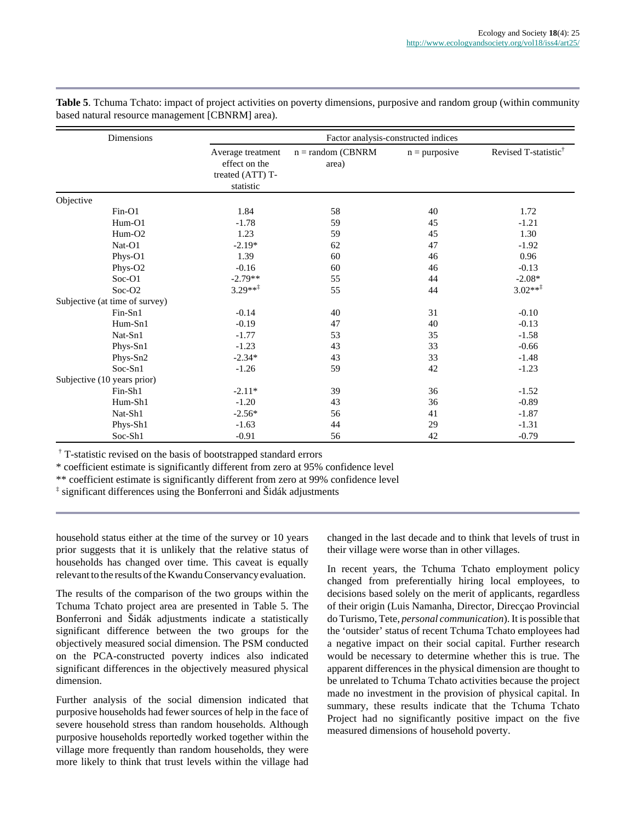| Dimensions                     | Factor analysis-constructed indices                                 |                               |                 |                                  |  |
|--------------------------------|---------------------------------------------------------------------|-------------------------------|-----------------|----------------------------------|--|
|                                | Average treatment<br>effect on the<br>treated (ATT) T-<br>statistic | $n = random (CBNRM)$<br>area) | $n =$ purposive | Revised T-statistic <sup>®</sup> |  |
| Objective                      |                                                                     |                               |                 |                                  |  |
| $Fin-O1$                       | 1.84                                                                | 58                            | 40              | 1.72                             |  |
| $Hum-O1$                       | $-1.78$                                                             | 59                            | 45              | $-1.21$                          |  |
| $Hum-O2$                       | 1.23                                                                | 59                            | 45              | 1.30                             |  |
| Nat-O1                         | $-2.19*$                                                            | 62                            | 47              | $-1.92$                          |  |
| Phys-O1                        | 1.39                                                                | 60                            | 46              | 0.96                             |  |
| Phys-O2                        | $-0.16$                                                             | 60                            | 46              | $-0.13$                          |  |
| $Soc-O1$                       | $-2.79**$                                                           | 55                            | 44              | $-2.08*$                         |  |
| $Soc-O2$                       | $3.29***$                                                           | 55                            | 44              | $3.02***$                        |  |
| Subjective (at time of survey) |                                                                     |                               |                 |                                  |  |
| Fin-Sn1                        | $-0.14$                                                             | 40                            | 31              | $-0.10$                          |  |
| Hum-Sn1                        | $-0.19$                                                             | 47                            | 40              | $-0.13$                          |  |
| Nat-Sn1                        | $-1.77$                                                             | 53                            | 35              | $-1.58$                          |  |
| Phys-Sn1                       | $-1.23$                                                             | 43                            | 33              | $-0.66$                          |  |
| Phys-Sn2                       | $-2.34*$                                                            | 43                            | 33              | $-1.48$                          |  |
| Soc-Sn1                        | $-1.26$                                                             | 59                            | 42              | $-1.23$                          |  |
| Subjective (10 years prior)    |                                                                     |                               |                 |                                  |  |
| Fin-Sh1                        | $-2.11*$                                                            | 39                            | 36              | $-1.52$                          |  |
| Hum-Sh1                        | $-1.20$                                                             | 43                            | 36              | $-0.89$                          |  |
| Nat-Sh1                        | $-2.56*$                                                            | 56                            | 41              | $-1.87$                          |  |
| Phys-Sh1                       | $-1.63$                                                             | 44                            | 29              | $-1.31$                          |  |
| Soc-Sh1                        | $-0.91$                                                             | 56                            | 42              | $-0.79$                          |  |

**Table 5**. Tchuma Tchato: impact of project activities on poverty dimensions, purposive and random group (within community based natural resource management [CBNRM] area).

† T-statistic revised on the basis of bootstrapped standard errors

\* coefficient estimate is significantly different from zero at 95% confidence level

\*\* coefficient estimate is significantly different from zero at 99% confidence level

‡ significant differences using the Bonferroni and Šidák adjustments

household status either at the time of the survey or 10 years prior suggests that it is unlikely that the relative status of households has changed over time. This caveat is equally relevant to the results of the Kwandu Conservancy evaluation.

The results of the comparison of the two groups within the Tchuma Tchato project area are presented in Table 5. The Bonferroni and Šidák adjustments indicate a statistically significant difference between the two groups for the objectively measured social dimension. The PSM conducted on the PCA-constructed poverty indices also indicated significant differences in the objectively measured physical dimension.

Further analysis of the social dimension indicated that purposive households had fewer sources of help in the face of severe household stress than random households. Although purposive households reportedly worked together within the village more frequently than random households, they were more likely to think that trust levels within the village had

changed in the last decade and to think that levels of trust in their village were worse than in other villages.

In recent years, the Tchuma Tchato employment policy changed from preferentially hiring local employees, to decisions based solely on the merit of applicants, regardless of their origin (Luis Namanha, Director, Direcçao Provincial do Turismo, Tete, *personal communication*). It is possible that the 'outsider' status of recent Tchuma Tchato employees had a negative impact on their social capital. Further research would be necessary to determine whether this is true. The apparent differences in the physical dimension are thought to be unrelated to Tchuma Tchato activities because the project made no investment in the provision of physical capital. In summary, these results indicate that the Tchuma Tchato Project had no significantly positive impact on the five measured dimensions of household poverty.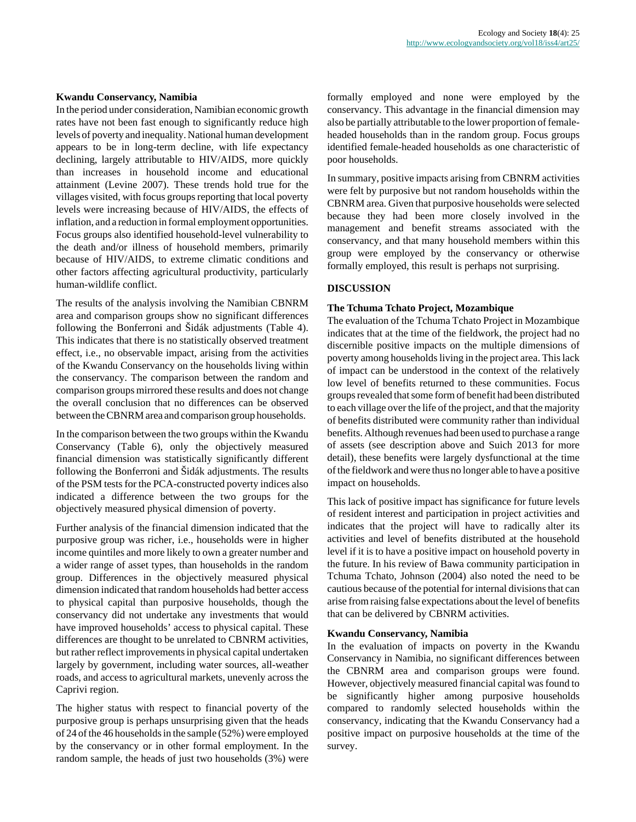#### **Kwandu Conservancy, Namibia**

In the period under consideration, Namibian economic growth rates have not been fast enough to significantly reduce high levels of poverty and inequality. National human development appears to be in long-term decline, with life expectancy declining, largely attributable to HIV/AIDS, more quickly than increases in household income and educational attainment (Levine 2007). These trends hold true for the villages visited, with focus groups reporting that local poverty levels were increasing because of HIV/AIDS, the effects of inflation, and a reduction in formal employment opportunities. Focus groups also identified household-level vulnerability to the death and/or illness of household members, primarily because of HIV/AIDS, to extreme climatic conditions and other factors affecting agricultural productivity, particularly human-wildlife conflict.

The results of the analysis involving the Namibian CBNRM area and comparison groups show no significant differences following the Bonferroni and Šidák adjustments (Table 4). This indicates that there is no statistically observed treatment effect, i.e., no observable impact, arising from the activities of the Kwandu Conservancy on the households living within the conservancy. The comparison between the random and comparison groups mirrored these results and does not change the overall conclusion that no differences can be observed between the CBNRM area and comparison group households.

In the comparison between the two groups within the Kwandu Conservancy (Table 6), only the objectively measured financial dimension was statistically significantly different following the Bonferroni and Šidák adjustments. The results of the PSM tests for the PCA-constructed poverty indices also indicated a difference between the two groups for the objectively measured physical dimension of poverty.

Further analysis of the financial dimension indicated that the purposive group was richer, i.e., households were in higher income quintiles and more likely to own a greater number and a wider range of asset types, than households in the random group. Differences in the objectively measured physical dimension indicated that random households had better access to physical capital than purposive households, though the conservancy did not undertake any investments that would have improved households' access to physical capital. These differences are thought to be unrelated to CBNRM activities, but rather reflect improvements in physical capital undertaken largely by government, including water sources, all-weather roads, and access to agricultural markets, unevenly across the Caprivi region.

The higher status with respect to financial poverty of the purposive group is perhaps unsurprising given that the heads of 24 of the 46 households in the sample (52%) were employed by the conservancy or in other formal employment. In the random sample, the heads of just two households (3%) were formally employed and none were employed by the conservancy. This advantage in the financial dimension may also be partially attributable to the lower proportion of femaleheaded households than in the random group. Focus groups identified female-headed households as one characteristic of poor households.

In summary, positive impacts arising from CBNRM activities were felt by purposive but not random households within the CBNRM area. Given that purposive households were selected because they had been more closely involved in the management and benefit streams associated with the conservancy, and that many household members within this group were employed by the conservancy or otherwise formally employed, this result is perhaps not surprising.

## **DISCUSSION**

#### **The Tchuma Tchato Project, Mozambique**

The evaluation of the Tchuma Tchato Project in Mozambique indicates that at the time of the fieldwork, the project had no discernible positive impacts on the multiple dimensions of poverty among households living in the project area. This lack of impact can be understood in the context of the relatively low level of benefits returned to these communities. Focus groups revealed that some form of benefit had been distributed to each village over the life of the project, and that the majority of benefits distributed were community rather than individual benefits. Although revenues had been used to purchase a range of assets (see description above and Suich 2013 for more detail), these benefits were largely dysfunctional at the time of the fieldwork and were thus no longer able to have a positive impact on households.

This lack of positive impact has significance for future levels of resident interest and participation in project activities and indicates that the project will have to radically alter its activities and level of benefits distributed at the household level if it is to have a positive impact on household poverty in the future. In his review of Bawa community participation in Tchuma Tchato, Johnson (2004) also noted the need to be cautious because of the potential for internal divisions that can arise from raising false expectations about the level of benefits that can be delivered by CBNRM activities.

#### **Kwandu Conservancy, Namibia**

In the evaluation of impacts on poverty in the Kwandu Conservancy in Namibia, no significant differences between the CBNRM area and comparison groups were found. However, objectively measured financial capital was found to be significantly higher among purposive households compared to randomly selected households within the conservancy, indicating that the Kwandu Conservancy had a positive impact on purposive households at the time of the survey.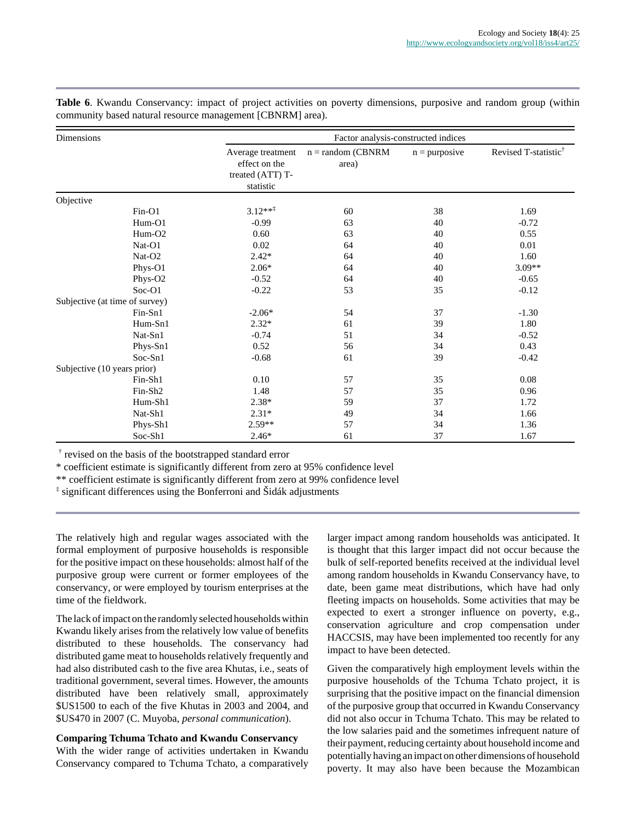| <b>Dimensions</b>              |                     | Factor analysis-constructed indices                                 |                               |                 |                                  |
|--------------------------------|---------------------|---------------------------------------------------------------------|-------------------------------|-----------------|----------------------------------|
|                                |                     | Average treatment<br>effect on the<br>treated (ATT) T-<br>statistic | $n = random (CBNRM)$<br>area) | $n =$ purposive | Revised T-statistic <sup>†</sup> |
| Objective                      |                     |                                                                     |                               |                 |                                  |
|                                | $Fin-O1$            | $3.12***$                                                           | 60                            | 38              | 1.69                             |
|                                | Hum-O1              | $-0.99$                                                             | 63                            | 40              | $-0.72$                          |
|                                | $Hum-O2$            | 0.60                                                                | 63                            | 40              | 0.55                             |
|                                | Nat-O1              | 0.02                                                                | 64                            | 40              | 0.01                             |
|                                | Nat-O2              | $2.42*$                                                             | 64                            | 40              | 1.60                             |
|                                | Phys-O1             | $2.06*$                                                             | 64                            | 40              | 3.09**                           |
|                                | Phys-O2             | $-0.52$                                                             | 64                            | 40              | $-0.65$                          |
|                                | Soc-O1              | $-0.22$                                                             | 53                            | 35              | $-0.12$                          |
| Subjective (at time of survey) |                     |                                                                     |                               |                 |                                  |
|                                | $Fin-Sn1$           | $-2.06*$                                                            | 54                            | 37              | $-1.30$                          |
|                                | Hum-Sn1             | $2.32*$                                                             | 61                            | 39              | 1.80                             |
|                                | Nat-Sn1             | $-0.74$                                                             | 51                            | 34              | $-0.52$                          |
|                                | Phys-Sn1            | 0.52                                                                | 56                            | 34              | 0.43                             |
|                                | Soc-Sn1             | $-0.68$                                                             | 61                            | 39              | $-0.42$                          |
| Subjective (10 years prior)    |                     |                                                                     |                               |                 |                                  |
|                                | Fin-Sh1             | 0.10                                                                | 57                            | 35              | 0.08                             |
|                                | Fin-Sh <sub>2</sub> | 1.48                                                                | 57                            | 35              | 0.96                             |
|                                | Hum-Sh1             | $2.38*$                                                             | 59                            | 37              | 1.72                             |
|                                | Nat-Sh1             | $2.31*$                                                             | 49                            | 34              | 1.66                             |
|                                | Phys-Sh1            | $2.59**$                                                            | 57                            | 34              | 1.36                             |
|                                | Soc-Sh1             | $2.46*$                                                             | 61                            | 37              | 1.67                             |

**Table 6**. Kwandu Conservancy: impact of project activities on poverty dimensions, purposive and random group (within community based natural resource management [CBNRM] area).

† revised on the basis of the bootstrapped standard error

\* coefficient estimate is significantly different from zero at 95% confidence level

\*\* coefficient estimate is significantly different from zero at 99% confidence level

‡ significant differences using the Bonferroni and Šidák adjustments

The relatively high and regular wages associated with the formal employment of purposive households is responsible for the positive impact on these households: almost half of the purposive group were current or former employees of the conservancy, or were employed by tourism enterprises at the time of the fieldwork.

The lack of impact on the randomly selected households within Kwandu likely arises from the relatively low value of benefits distributed to these households. The conservancy had distributed game meat to households relatively frequently and had also distributed cash to the five area Khutas, i.e., seats of traditional government, several times. However, the amounts distributed have been relatively small, approximately \$US1500 to each of the five Khutas in 2003 and 2004, and \$US470 in 2007 (C. Muyoba, *personal communication*).

**Comparing Tchuma Tchato and Kwandu Conservancy** With the wider range of activities undertaken in Kwandu Conservancy compared to Tchuma Tchato, a comparatively larger impact among random households was anticipated. It is thought that this larger impact did not occur because the bulk of self-reported benefits received at the individual level among random households in Kwandu Conservancy have, to date, been game meat distributions, which have had only fleeting impacts on households. Some activities that may be expected to exert a stronger influence on poverty, e.g., conservation agriculture and crop compensation under HACCSIS, may have been implemented too recently for any impact to have been detected.

Given the comparatively high employment levels within the purposive households of the Tchuma Tchato project, it is surprising that the positive impact on the financial dimension of the purposive group that occurred in Kwandu Conservancy did not also occur in Tchuma Tchato. This may be related to the low salaries paid and the sometimes infrequent nature of their payment, reducing certainty about household income and potentially having an impact on other dimensions of household poverty. It may also have been because the Mozambican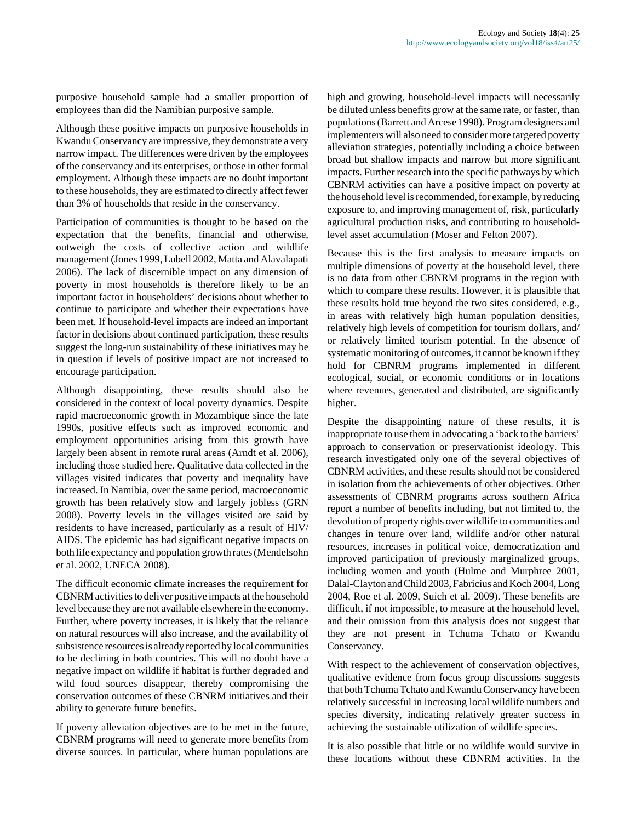purposive household sample had a smaller proportion of employees than did the Namibian purposive sample.

Although these positive impacts on purposive households in Kwandu Conservancy are impressive, they demonstrate a very narrow impact. The differences were driven by the employees of the conservancy and its enterprises, or those in other formal employment. Although these impacts are no doubt important to these households, they are estimated to directly affect fewer than 3% of households that reside in the conservancy.

Participation of communities is thought to be based on the expectation that the benefits, financial and otherwise, outweigh the costs of collective action and wildlife management (Jones 1999, Lubell 2002, Matta and Alavalapati 2006). The lack of discernible impact on any dimension of poverty in most households is therefore likely to be an important factor in householders' decisions about whether to continue to participate and whether their expectations have been met. If household-level impacts are indeed an important factor in decisions about continued participation, these results suggest the long-run sustainability of these initiatives may be in question if levels of positive impact are not increased to encourage participation.

Although disappointing, these results should also be considered in the context of local poverty dynamics. Despite rapid macroeconomic growth in Mozambique since the late 1990s, positive effects such as improved economic and employment opportunities arising from this growth have largely been absent in remote rural areas (Arndt et al. 2006), including those studied here. Qualitative data collected in the villages visited indicates that poverty and inequality have increased. In Namibia, over the same period, macroeconomic growth has been relatively slow and largely jobless (GRN 2008). Poverty levels in the villages visited are said by residents to have increased, particularly as a result of HIV/ AIDS. The epidemic has had significant negative impacts on both life expectancy and population growth rates (Mendelsohn et al. 2002, UNECA 2008).

The difficult economic climate increases the requirement for CBNRM activities to deliver positive impacts at the household level because they are not available elsewhere in the economy. Further, where poverty increases, it is likely that the reliance on natural resources will also increase, and the availability of subsistence resources is already reported by local communities to be declining in both countries. This will no doubt have a negative impact on wildlife if habitat is further degraded and wild food sources disappear, thereby compromising the conservation outcomes of these CBNRM initiatives and their ability to generate future benefits.

If poverty alleviation objectives are to be met in the future, CBNRM programs will need to generate more benefits from diverse sources. In particular, where human populations are high and growing, household-level impacts will necessarily be diluted unless benefits grow at the same rate, or faster, than populations (Barrett and Arcese 1998). Program designers and implementers will also need to consider more targeted poverty alleviation strategies, potentially including a choice between broad but shallow impacts and narrow but more significant impacts. Further research into the specific pathways by which CBNRM activities can have a positive impact on poverty at the household level is recommended, for example, by reducing exposure to, and improving management of, risk, particularly agricultural production risks, and contributing to householdlevel asset accumulation (Moser and Felton 2007).

Because this is the first analysis to measure impacts on multiple dimensions of poverty at the household level, there is no data from other CBNRM programs in the region with which to compare these results. However, it is plausible that these results hold true beyond the two sites considered, e.g., in areas with relatively high human population densities, relatively high levels of competition for tourism dollars, and/ or relatively limited tourism potential. In the absence of systematic monitoring of outcomes, it cannot be known if they hold for CBNRM programs implemented in different ecological, social, or economic conditions or in locations where revenues, generated and distributed, are significantly higher.

Despite the disappointing nature of these results, it is inappropriate to use them in advocating a 'back to the barriers' approach to conservation or preservationist ideology. This research investigated only one of the several objectives of CBNRM activities, and these results should not be considered in isolation from the achievements of other objectives. Other assessments of CBNRM programs across southern Africa report a number of benefits including, but not limited to, the devolution of property rights over wildlife to communities and changes in tenure over land, wildlife and/or other natural resources, increases in political voice, democratization and improved participation of previously marginalized groups, including women and youth (Hulme and Murphree 2001, Dalal-Clayton and Child 2003, Fabricius and Koch 2004, Long 2004, Roe et al. 2009, Suich et al. 2009). These benefits are difficult, if not impossible, to measure at the household level, and their omission from this analysis does not suggest that they are not present in Tchuma Tchato or Kwandu Conservancy.

With respect to the achievement of conservation objectives, qualitative evidence from focus group discussions suggests that both Tchuma Tchato and Kwandu Conservancy have been relatively successful in increasing local wildlife numbers and species diversity, indicating relatively greater success in achieving the sustainable utilization of wildlife species.

It is also possible that little or no wildlife would survive in these locations without these CBNRM activities. In the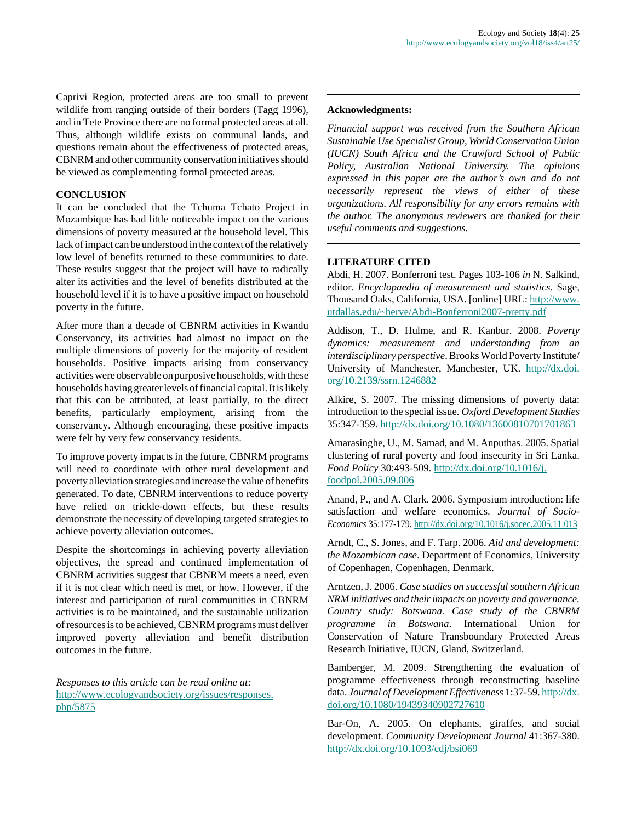Caprivi Region, protected areas are too small to prevent wildlife from ranging outside of their borders (Tagg 1996), and in Tete Province there are no formal protected areas at all. Thus, although wildlife exists on communal lands, and questions remain about the effectiveness of protected areas, CBNRM and other community conservation initiatives should be viewed as complementing formal protected areas.

# **CONCLUSION**

It can be concluded that the Tchuma Tchato Project in Mozambique has had little noticeable impact on the various dimensions of poverty measured at the household level. This lack of impact can be understood in the context of the relatively low level of benefits returned to these communities to date. These results suggest that the project will have to radically alter its activities and the level of benefits distributed at the household level if it is to have a positive impact on household poverty in the future.

After more than a decade of CBNRM activities in Kwandu Conservancy, its activities had almost no impact on the multiple dimensions of poverty for the majority of resident households. Positive impacts arising from conservancy activities were observable on purposive households, with these households having greater levels of financial capital. It is likely that this can be attributed, at least partially, to the direct benefits, particularly employment, arising from the conservancy. Although encouraging, these positive impacts were felt by very few conservancy residents.

To improve poverty impacts in the future, CBNRM programs will need to coordinate with other rural development and poverty alleviation strategies and increase the value of benefits generated. To date, CBNRM interventions to reduce poverty have relied on trickle-down effects, but these results demonstrate the necessity of developing targeted strategies to achieve poverty alleviation outcomes.

Despite the shortcomings in achieving poverty alleviation objectives, the spread and continued implementation of CBNRM activities suggest that CBNRM meets a need, even if it is not clear which need is met, or how. However, if the interest and participation of rural communities in CBNRM activities is to be maintained, and the sustainable utilization of resources is to be achieved, CBNRM programs must deliver improved poverty alleviation and benefit distribution outcomes in the future.

*Responses to this article can be read online at:* [http://www.ecologyandsociety.org/issues/responses.](http://www.ecologyandsociety.org/issues/responses.php/5875) [php/5875](http://www.ecologyandsociety.org/issues/responses.php/5875)

## **Acknowledgments:**

*Financial support was received from the Southern African Sustainable Use Specialist Group, World Conservation Union (IUCN) South Africa and the Crawford School of Public Policy, Australian National University. The opinions expressed in this paper are the author's own and do not necessarily represent the views of either of these organizations. All responsibility for any errors remains with the author. The anonymous reviewers are thanked for their useful comments and suggestions.*

## **LITERATURE CITED**

Abdi, H. 2007. Bonferroni test. Pages 103-106 *in* N. Salkind, editor. *Encyclopaedia of measurement and statistics*. Sage, Thousand Oaks, California, USA. [online] URL: [http://www.](http://www.utdallas.edu/~herve/Abdi-Bonferroni2007-pretty.pdf) [utdallas.edu/~herve/Abdi-Bonferroni2007-pretty.pdf](http://www.utdallas.edu/~herve/Abdi-Bonferroni2007-pretty.pdf)

Addison, T., D. Hulme, and R. Kanbur. 2008. *Poverty dynamics: measurement and understanding from an interdisciplinary perspective*. Brooks World Poverty Institute/ University of Manchester, Manchester, UK. [http://dx.doi.](http://dx.doi.org/10.2139/ssrn.1246882) [org/10.2139/ssrn.1246882](http://dx.doi.org/10.2139/ssrn.1246882)

Alkire, S. 2007. The missing dimensions of poverty data: introduction to the special issue. *Oxford Development Studies* 35:347-359.<http://dx.doi.org/10.1080/13600810701701863>

Amarasinghe, U., M. Samad, and M. Anputhas. 2005. Spatial clustering of rural poverty and food insecurity in Sri Lanka. *Food Policy* 30:493-509. [http://dx.doi.org/10.1016/j.](http://dx.doi.org/10.1016/j.foodpol.2005.09.006) [foodpol.2005.09.006](http://dx.doi.org/10.1016/j.foodpol.2005.09.006)

Anand, P., and A. Clark. 2006. Symposium introduction: life satisfaction and welfare economics. *Journal of Socio-Economics* 35:177-179. <http://dx.doi.org/10.1016/j.socec.2005.11.013>

Arndt, C., S. Jones, and F. Tarp. 2006. *Aid and development: the Mozambican case*. Department of Economics, University of Copenhagen, Copenhagen, Denmark.

Arntzen, J. 2006. *Case studies on successful southern African NRM initiatives and their impacts on poverty and governance. Country study: Botswana. Case study of the CBNRM programme in Botswana*. International Union for Conservation of Nature Transboundary Protected Areas Research Initiative, IUCN, Gland, Switzerland.

Bamberger, M. 2009. Strengthening the evaluation of programme effectiveness through reconstructing baseline data. *Journal of Development Effectiveness* 1:37-59. [http://dx.](http://dx.doi.org/10.1080/19439340902727610) [doi.org/10.1080/19439340902727610](http://dx.doi.org/10.1080/19439340902727610)

Bar-On, A. 2005. On elephants, giraffes, and social development. *Community Development Journal* 41:367-380. <http://dx.doi.org/10.1093/cdj/bsi069>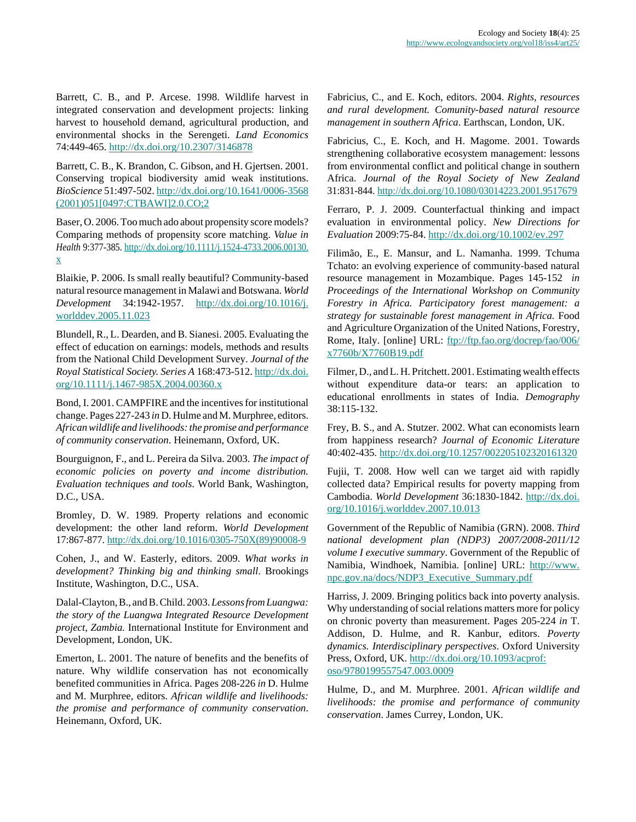Barrett, C. B., and P. Arcese. 1998. Wildlife harvest in integrated conservation and development projects: linking harvest to household demand, agricultural production, and environmental shocks in the Serengeti. *Land Economics* 74:449-465.<http://dx.doi.org/10.2307/3146878>

Barrett, C. B., K. Brandon, C. Gibson, and H. Giertsen. 2001. Conserving tropical biodiversity amid weak institutions. *BioScience* 51:497-502. [http://dx.doi.org/10.1641/0006-3568](http://dx.doi.org/10.1641/0006-3568(2001)051[0497:CTBAWI]2.0.CO;2) [\(2001\)051\[0497:CTBAWI\]2.0.CO;2](http://dx.doi.org/10.1641/0006-3568(2001)051[0497:CTBAWI]2.0.CO;2)

Baser, O. 2006. Too much ado about propensity score models? Comparing methods of propensity score matching. *Value in Health* 9:377-385. [http://dx.doi.org/10.1111/j.1524-4733.2006.00130.](http://dx.doi.org/10.1111/j.1524-4733.2006.00130.x) [x](http://dx.doi.org/10.1111/j.1524-4733.2006.00130.x)

Blaikie, P. 2006. Is small really beautiful? Community-based natural resource management in Malawi and Botswana. *World Development* 34:1942-1957. [http://dx.doi.org/10.1016/j.](http://dx.doi.org/10.1016/j.worlddev.2005.11.023) [worlddev.2005.11.023](http://dx.doi.org/10.1016/j.worlddev.2005.11.023)

Blundell, R., L. Dearden, and B. Sianesi. 2005. Evaluating the effect of education on earnings: models, methods and results from the National Child Development Survey. *Journal of the Royal Statistical Society. Series A* 168:473-512. [http://dx.doi.](http://dx.doi.org/10.1111/j.1467-985X.2004.00360.x) [org/10.1111/j.1467-985X.2004.00360.x](http://dx.doi.org/10.1111/j.1467-985X.2004.00360.x)

Bond, I. 2001. CAMPFIRE and the incentives for institutional change. Pages 227-243 *in* D. Hulme and M. Murphree, editors. *African wildlife and livelihoods: the promise and performance of community conservation*. Heinemann, Oxford, UK.

Bourguignon, F., and L. Pereira da Silva. 2003. *The impact of economic policies on poverty and income distribution. Evaluation techniques and tools*. World Bank, Washington, D.C., USA.

Bromley, D. W. 1989. Property relations and economic development: the other land reform. *World Development* 17:867-877. [http://dx.doi.org/10.1016/0305-750X\(89\)90008-9](http://dx.doi.org/10.1016/0305-750X(89)90008-9)

Cohen, J., and W. Easterly, editors. 2009. *What works in development? Thinking big and thinking small*. Brookings Institute, Washington, D.C., USA.

Dalal-Clayton, B., and B. Child. 2003. *Lessons from Luangwa: the story of the Luangwa Integrated Resource Development project, Zambia.* International Institute for Environment and Development, London, UK.

Emerton, L. 2001. The nature of benefits and the benefits of nature. Why wildlife conservation has not economically benefited communities in Africa. Pages 208-226 *in* D. Hulme and M. Murphree, editors. *African wildlife and livelihoods: the promise and performance of community conservation*. Heinemann, Oxford, UK.

Fabricius, C., and E. Koch, editors. 2004. *Rights, resources and rural development. Comunity-based natural resource management in southern Africa*. Earthscan, London, UK.

Fabricius, C., E. Koch, and H. Magome. 2001. Towards strengthening collaborative ecosystem management: lessons from environmental conflict and political change in southern Africa. *Journal of the Royal Society of New Zealand* 31:831-844.<http://dx.doi.org/10.1080/03014223.2001.9517679>

Ferraro, P. J. 2009. Counterfactual thinking and impact evaluation in environmental policy. *New Directions for Evaluation* 2009:75-84.<http://dx.doi.org/10.1002/ev.297>

Filimão, E., E. Mansur, and L. Namanha. 1999. Tchuma Tchato: an evolving experience of community-based natural resource management in Mozambique. Pages 145-152 *in Proceedings of the International Workshop on Community Forestry in Africa. Participatory forest management: a strategy for sustainable forest management in Africa.* Food and Agriculture Organization of the United Nations, Forestry, Rome, Italy. [online] URL: [ftp://ftp.fao.org/docrep/fao/006/](ftp://ftp.fao.org/docrep/fao/006/x7760b/X7760B19.pdf) [x7760b/X7760B19.pdf](ftp://ftp.fao.org/docrep/fao/006/x7760b/X7760B19.pdf)

Filmer, D., and L. H. Pritchett. 2001. Estimating wealth effects without expenditure data-or tears: an application to educational enrollments in states of India. *Demography* 38:115-132.

Frey, B. S., and A. Stutzer. 2002. What can economists learn from happiness research? *Journal of Economic Literature* 40:402-435.<http://dx.doi.org/10.1257/002205102320161320>

Fujii, T. 2008. How well can we target aid with rapidly collected data? Empirical results for poverty mapping from Cambodia. *World Development* 36:1830-1842. [http://dx.doi.](http://dx.doi.org/10.1016/j.worlddev.2007.10.013) [org/10.1016/j.worlddev.2007.10.013](http://dx.doi.org/10.1016/j.worlddev.2007.10.013)

Government of the Republic of Namibia (GRN). 2008. *Third national development plan (NDP3) 2007/2008-2011/12 volume I executive summary*. Government of the Republic of Namibia, Windhoek, Namibia. [online] URL: [http://www.](http://www.npc.gov.na/docs/NDP3_Executive_Summary.pdf) [npc.gov.na/docs/NDP3\\_Executive\\_Summary.pdf](http://www.npc.gov.na/docs/NDP3_Executive_Summary.pdf)

Harriss, J. 2009. Bringing politics back into poverty analysis. Why understanding of social relations matters more for policy on chronic poverty than measurement. Pages 205-224 *in* T. Addison, D. Hulme, and R. Kanbur, editors. *Poverty dynamics. Interdisciplinary perspectives*. Oxford University Press, Oxford, UK. [http://dx.doi.org/10.1093/acprof:](http://dx.doi.org/10.1093/acprof:oso/9780199557547.003.0009) [oso/9780199557547.003.0009](http://dx.doi.org/10.1093/acprof:oso/9780199557547.003.0009)

Hulme, D., and M. Murphree. 2001. *African wildlife and livelihoods: the promise and performance of community conservation*. James Currey, London, UK.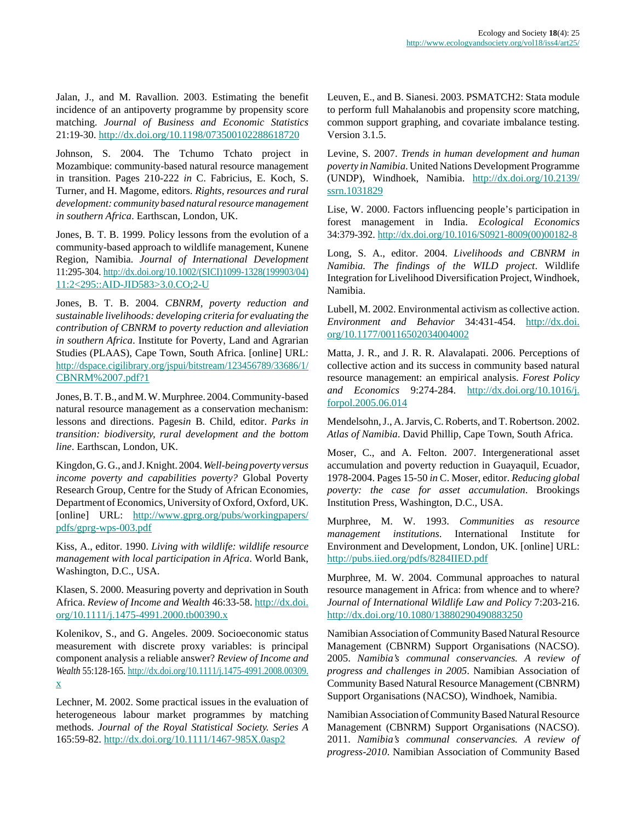Jalan, J., and M. Ravallion. 2003. Estimating the benefit incidence of an antipoverty programme by propensity score matching. *Journal of Business and Economic Statistics* 21:19-30.<http://dx.doi.org/10.1198/073500102288618720>

Johnson, S. 2004. The Tchumo Tchato project in Mozambique: community-based natural resource management in transition. Pages 210-222 *in* C. Fabricius, E. Koch, S. Turner, and H. Magome, editors. *Rights, resources and rural development: community based natural resource management in southern Africa*. Earthscan, London, UK.

Jones, B. T. B. 1999. Policy lessons from the evolution of a community-based approach to wildlife management, Kunene Region, Namibia. *Journal of International Development* 11:295-304. [http://dx.doi.org/10.1002/\(SICI\)1099-1328\(199903/04\)](http://dx.doi.org/10.1002/(SICI)1099-1328(199903/04)11:2<295::AID-JID583>3.0.CO;2-U) [11:2<295::AID-JID583>3.0.CO;2-U](http://dx.doi.org/10.1002/(SICI)1099-1328(199903/04)11:2<295::AID-JID583>3.0.CO;2-U)

Jones, B. T. B. 2004. *CBNRM, poverty reduction and sustainable livelihoods: developing criteria for evaluating the contribution of CBNRM to poverty reduction and alleviation in southern Africa*. Institute for Poverty, Land and Agrarian Studies (PLAAS), Cape Town, South Africa. [online] URL: [http://dspace.cigilibrary.org/jspui/bitstream/123456789/33686/1/](http://dspace.cigilibrary.org/jspui/bitstream/123456789/33686/1/CBNRM%2007.pdf?1) [CBNRM%2007.pdf?1](http://dspace.cigilibrary.org/jspui/bitstream/123456789/33686/1/CBNRM%2007.pdf?1)

Jones, B. T. B., and M. W. Murphree. 2004. Community-based natural resource management as a conservation mechanism: lessons and directions. Pages*in* B. Child, editor. *Parks in transition: biodiversity, rural development and the bottom line*. Earthscan, London, UK.

Kingdon, G. G., and J. Knight. 2004. *Well-being poverty versus income poverty and capabilities poverty?* Global Poverty Research Group, Centre for the Study of African Economies, Department of Economics, University of Oxford, Oxford, UK. [online] URL: [http://www.gprg.org/pubs/workingpapers/](http://www.gprg.org/pubs/workingpapers/pdfs/gprg-wps-003.pdf) [pdfs/gprg-wps-003.pdf](http://www.gprg.org/pubs/workingpapers/pdfs/gprg-wps-003.pdf)

Kiss, A., editor. 1990. *Living with wildlife: wildlife resource management with local participation in Africa*. World Bank, Washington, D.C., USA.

Klasen, S. 2000. Measuring poverty and deprivation in South Africa. *Review of Income and Wealth* 46:33-58. [http://dx.doi.](http://dx.doi.org/10.1111/j.1475-4991.2000.tb00390.x) [org/10.1111/j.1475-4991.2000.tb00390.x](http://dx.doi.org/10.1111/j.1475-4991.2000.tb00390.x)

Kolenikov, S., and G. Angeles. 2009. Socioeconomic status measurement with discrete proxy variables: is principal component analysis a reliable answer? *Review of Income and Wealth* 55:128-165. [http://dx.doi.org/10.1111/j.1475-4991.2008.00309.](http://dx.doi.org/10.1111/j.1475-4991.2008.00309.x) [x](http://dx.doi.org/10.1111/j.1475-4991.2008.00309.x)

Lechner, M. 2002. Some practical issues in the evaluation of heterogeneous labour market programmes by matching methods. *Journal of the Royal Statistical Society. Series A* 165:59-82.<http://dx.doi.org/10.1111/1467-985X.0asp2>

Leuven, E., and B. Sianesi. 2003. PSMATCH2: Stata module to perform full Mahalanobis and propensity score matching, common support graphing, and covariate imbalance testing. Version 3.1.5.

Levine, S. 2007. *Trends in human development and human poverty in Namibia*. United Nations Development Programme (UNDP), Windhoek, Namibia. [http://dx.doi.org/10.2139/](http://dx.doi.org/10.2139/ssrn.1031829) [ssrn.1031829](http://dx.doi.org/10.2139/ssrn.1031829)

Lise, W. 2000. Factors influencing people's participation in forest management in India. *Ecological Economics* 34:379-392. [http://dx.doi.org/10.1016/S0921-8009\(00\)00182-8](http://dx.doi.org/10.1016/S0921-8009(00)00182-8)

Long, S. A., editor. 2004. *Livelihoods and CBNRM in Namibia. The findings of the WILD project*. Wildlife Integration for Livelihood Diversification Project, Windhoek, Namibia.

Lubell, M. 2002. Environmental activism as collective action. *Environment and Behavior* 34:431-454. [http://dx.doi.](http://dx.doi.org/10.1177/00116502034004002) [org/10.1177/00116502034004002](http://dx.doi.org/10.1177/00116502034004002)

Matta, J. R., and J. R. R. Alavalapati. 2006. Perceptions of collective action and its success in community based natural resource management: an empirical analysis. *Forest Policy and Economics* 9:274-284. [http://dx.doi.org/10.1016/j.](http://dx.doi.org/10.1016/j.forpol.2005.06.014) [forpol.2005.06.014](http://dx.doi.org/10.1016/j.forpol.2005.06.014)

Mendelsohn, J., A. Jarvis, C. Roberts, and T. Robertson. 2002. *Atlas of Namibia*. David Phillip, Cape Town, South Africa.

Moser, C., and A. Felton. 2007. Intergenerational asset accumulation and poverty reduction in Guayaquil, Ecuador, 1978-2004. Pages 15-50 *in* C. Moser, editor. *Reducing global poverty: the case for asset accumulation*. Brookings Institution Press, Washington, D.C., USA.

Murphree, M. W. 1993. *Communities as resource management institutions*. International Institute for Environment and Development, London, UK. [online] URL: <http://pubs.iied.org/pdfs/8284IIED.pdf>

Murphree, M. W. 2004. Communal approaches to natural resource management in Africa: from whence and to where? *Journal of International Wildlife Law and Policy* 7:203-216. <http://dx.doi.org/10.1080/13880290490883250>

Namibian Association of Community Based Natural Resource Management (CBNRM) Support Organisations (NACSO). 2005. *Namibia's communal conservancies. A review of progress and challenges in 2005*. Namibian Association of Community Based Natural Resource Management (CBNRM) Support Organisations (NACSO), Windhoek, Namibia.

Namibian Association of Community Based Natural Resource Management (CBNRM) Support Organisations (NACSO). 2011. *Namibia's communal conservancies. A review of progress-2010*. Namibian Association of Community Based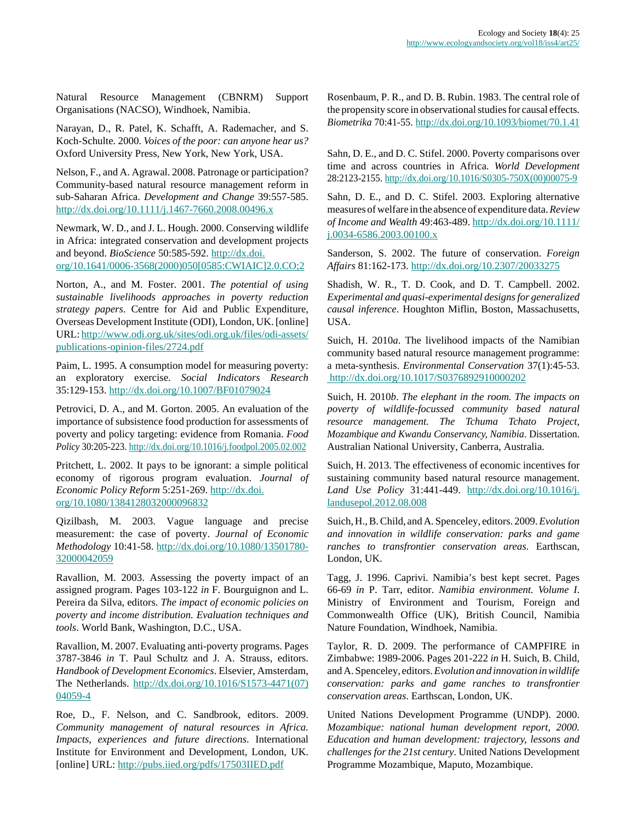Natural Resource Management (CBNRM) Support Organisations (NACSO), Windhoek, Namibia.

Narayan, D., R. Patel, K. Schafft, A. Rademacher, and S. Koch-Schulte. 2000. *Voices of the poor: can anyone hear us?* Oxford University Press, New York, New York, USA.

Nelson, F., and A. Agrawal. 2008. Patronage or participation? Community-based natural resource management reform in sub-Saharan Africa. *Development and Change* 39:557-585. <http://dx.doi.org/10.1111/j.1467-7660.2008.00496.x>

Newmark, W. D., and J. L. Hough. 2000. Conserving wildlife in Africa: integrated conservation and development projects and beyond. *BioScience* 50:585-592. [http://dx.doi.](http://dx.doi.org/10.1641/0006-3568(2000)050[0585:CWIAIC]2.0.CO;2) [org/10.1641/0006-3568\(2000\)050\[0585:CWIAIC\]2.0.CO;2](http://dx.doi.org/10.1641/0006-3568(2000)050[0585:CWIAIC]2.0.CO;2)

Norton, A., and M. Foster. 2001. *The potential of using sustainable livelihoods approaches in poverty reduction strategy papers*. Centre for Aid and Public Expenditure, Overseas Development Institute (ODI), London, UK. [online] URL: [http://www.odi.org.uk/sites/odi.org.uk/files/odi-assets/](http://www.odi.org.uk/sites/odi.org.uk/files/odi-assets/publications-opinion-files/2724.pdf) [publications-opinion-files/2724.pdf](http://www.odi.org.uk/sites/odi.org.uk/files/odi-assets/publications-opinion-files/2724.pdf)

Paim, L. 1995. A consumption model for measuring poverty: an exploratory exercise. *Social Indicators Research* 35:129-153.<http://dx.doi.org/10.1007/BF01079024>

Petrovici, D. A., and M. Gorton. 2005. An evaluation of the importance of subsistence food production for assessments of poverty and policy targeting: evidence from Romania. *Food Policy* 30:205-223.<http://dx.doi.org/10.1016/j.foodpol.2005.02.002>

Pritchett, L. 2002. It pays to be ignorant: a simple political economy of rigorous program evaluation. *Journal of Economic Policy Reform* 5:251-269. [http://dx.doi.](http://dx.doi.org/10.1080/1384128032000096832) [org/10.1080/1384128032000096832](http://dx.doi.org/10.1080/1384128032000096832)

Qizilbash, M. 2003. Vague language and precise measurement: the case of poverty. *Journal of Economic Methodology* 10:41-58. [http://dx.doi.org/10.1080/13501780-](http://dx.doi.org/10.1080/1350178032000042059) [32000042059](http://dx.doi.org/10.1080/1350178032000042059)

Ravallion, M. 2003. Assessing the poverty impact of an assigned program. Pages 103-122 *in* F. Bourguignon and L. Pereira da Silva, editors. *The impact of economic policies on poverty and income distribution. Evaluation techniques and tools*. World Bank, Washington, D.C., USA.

Ravallion, M. 2007. Evaluating anti-poverty programs. Pages 3787-3846 *in* T. Paul Schultz and J. A. Strauss, editors. *Handbook of Development Economics*. Elsevier, Amsterdam, The Netherlands. [http://dx.doi.org/10.1016/S1573-4471\(07\)](http://dx.doi.org/10.1016/S1573-4471(07)04059-4) [04059-4](http://dx.doi.org/10.1016/S1573-4471(07)04059-4)

Roe, D., F. Nelson, and C. Sandbrook, editors. 2009. *Community management of natural resources in Africa. Impacts, experiences and future directions*. International Institute for Environment and Development, London, UK. [online] URL:<http://pubs.iied.org/pdfs/17503IIED.pdf>

Rosenbaum, P. R., and D. B. Rubin. 1983. The central role of the propensity score in observational studies for causal effects. *Biometrika* 70:41-55.<http://dx.doi.org/10.1093/biomet/70.1.41>

Sahn, D. E., and D. C. Stifel. 2000. Poverty comparisons over time and across countries in Africa. *World Development* 28:2123-2155. [http://dx.doi.org/10.1016/S0305-750X\(00\)00075-9](http://dx.doi.org/10.1016/S0305-750X(00)00075-9)

Sahn, D. E., and D. C. Stifel. 2003. Exploring alternative measures of welfare in the absence of expenditure data. *Review of Income and Wealth* 49:463-489. [http://dx.doi.org/10.1111/](http://dx.doi.org/10.1111/j.0034-6586.2003.00100.x) [j.0034-6586.2003.00100.x](http://dx.doi.org/10.1111/j.0034-6586.2003.00100.x)

Sanderson, S. 2002. The future of conservation. *Foreign Affairs* 81:162-173. <http://dx.doi.org/10.2307/20033275>

Shadish, W. R., T. D. Cook, and D. T. Campbell. 2002. *Experimental and quasi-experimental designs for generalized causal inference*. Houghton Miflin, Boston, Massachusetts, USA.

Suich, H. 2010*a*. The livelihood impacts of the Namibian community based natural resource management programme: a meta-synthesis. *Environmental Conservation* 37(1):45-53. <http://dx.doi.org/10.1017/S0376892910000202>

Suich, H. 2010*b*. *The elephant in the room. The impacts on poverty of wildlife-focussed community based natural resource management. The Tchuma Tchato Project, Mozambique and Kwandu Conservancy, Namibia*. Dissertation. Australian National University, Canberra, Australia.

Suich, H. 2013. The effectiveness of economic incentives for sustaining community based natural resource management. *Land Use Policy* 31:441-449. [http://dx.doi.org/10.1016/j.](http://dx.doi.org/10.1016/j.landusepol.2012.08.008) [landusepol.2012.08.008](http://dx.doi.org/10.1016/j.landusepol.2012.08.008)

Suich, H., B. Child, and A. Spenceley, editors. 2009. *Evolution and innovation in wildlife conservation: parks and game ranches to transfrontier conservation areas*. Earthscan, London, UK.

Tagg, J. 1996. Caprivi. Namibia's best kept secret. Pages 66-69 *in* P. Tarr, editor. *Namibia environment. Volume I*. Ministry of Environment and Tourism, Foreign and Commonwealth Office (UK), British Council, Namibia Nature Foundation, Windhoek, Namibia.

Taylor, R. D. 2009. The performance of CAMPFIRE in Zimbabwe: 1989-2006. Pages 201-222 *in* H. Suich, B. Child, and A. Spenceley, editors. *Evolution and innovation in wildlife conservation: parks and game ranches to transfrontier conservation areas*. Earthscan, London, UK.

United Nations Development Programme (UNDP). 2000. *Mozambique: national human development report, 2000. Education and human development: trajectory, lessons and challenges for the 21st century*. United Nations Development Programme Mozambique, Maputo, Mozambique.